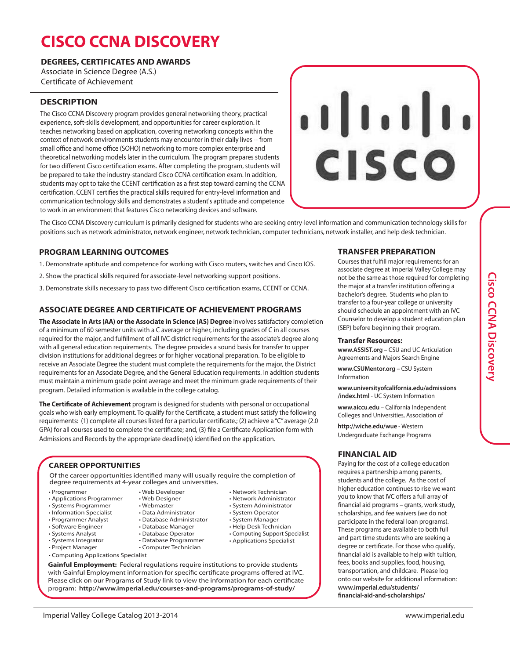# **CISCO CCNA DISCOVERY**

# **DEGREES, CERTIFICATES AND AWARDS**

Associate in Science Degree (A.S.) Certificate of Achievement

# **DESCRIPTION**

The Cisco CCNA Discovery program provides general networking theory, practical experience, soft-skills development, and opportunities for career exploration. It teaches networking based on application, covering networking concepts within the context of network environments students may encounter in their daily lives -- from small office and home office (SOHO) networking to more complex enterprise and theoretical networking models later in the curriculum. The program prepares students for two different Cisco certification exams. After completing the program, students will be prepared to take the industry-standard Cisco CCNA certification exam. In addition, students may opt to take the CCENT certification as a first step toward earning the CCNA certification. CCENT certifies the practical skills required for entry-level information and communication technology skills and demonstrates a student's aptitude and competence to work in an environment that features Cisco networking devices and software.



The Cisco CCNA Discovery curriculum is primarily designed for students who are seeking entry-level information and communication technology skills for positions such as network administrator, network engineer, network technician, computer technicians, network installer, and help desk technician.

# **PROGRAM LEARNING OUTCOMES**

- 1. Demonstrate aptitude and competence for working with Cisco routers, switches and Cisco IOS.
- 2. Show the practical skills required for associate-level networking support positions.
- 3. Demonstrate skills necessary to pass two different Cisco certification exams, CCENT or CCNA.

# **ASSOCIATE DEGREE AND CERTIFICATE OF ACHIEVEMENT PROGRAMS**

**The Associate in Arts (AA) or the Associate in Science (AS) Degree** involves satisfactory completion of a minimum of 60 semester units with a C average or higher, including grades of C in all courses required for the major, and fulfillment of all IVC district requirements for the associate's degree along with all general education requirements. The degree provides a sound basis for transfer to upper division institutions for additional degrees or for higher vocational preparation. To be eligible to receive an Associate Degree the student must complete the requirements for the major, the District requirements for an Associate Degree, and the General Education requirements. In addition students must maintain a minimum grade point average and meet the minimum grade requirements of their program. Detailed information is available in the college catalog.

**The Certificate of Achievement** program is designed for students with personal or occupational goals who wish early employment. To qualify for the Certificate, a student must satisfy the following requirements: (1) complete all courses listed for a particular certificate.; (2) achieve a "C" average (2.0 GPA) for all courses used to complete the certificate; and, (3) file a Certificate Application form with Admissions and Records by the appropriate deadline(s) identified on the application.

#### **CAREER OPPORTUNITIES**

Of the career opportunities identified many will usually require the completion of degree requirements at 4-year colleges and universities.

- Programmer
- Applications Programmer
- Systems Programmer
- Information Specialist
- Programmer Analyst
- Software Engineer
- Systems Analyst
- Systems Integrator • Project Manager
- 
- 
- Computer Technician
- Computing Applications Specialist
- Database Administrator • Database Manager
- Database Operator
- Database Programmer
	-
- **Gainful Employment:** Federal regulations require institutions to provide students with Gainful Employment information for specific certificate programs offered at IVC. Please click on our Programs of Study link to view the information for each certificate program: **http://www.imperial.edu/courses-and-programs/programs-of-study/**

#### **TRANSFER PREPARATION**

Courses that fulfill major requirements for an associate degree at Imperial Valley College may not be the same as those required for completing the major at a transfer institution offering a bachelor's degree. Students who plan to transfer to a four-year college or university should schedule an appointment with an IVC Counselor to develop a student education plan (SEP) before beginning their program.

#### **Transfer Resources:**

**www.ASSIST.org** – CSU and UC Articulation Agreements and Majors Search Engine

**www.CSUMentor.org** – CSU System Information

**www.universityofcalifornia.edu/admissions /index.html** - UC System Information

**www.aiccu.edu** – California Independent Colleges and Universities, Association of

**http://wiche.edu/wue** - Western Undergraduate Exchange Programs

#### **FINANCIAL AID**

Paying for the cost of a college education requires a partnership among parents, students and the college. As the cost of higher education continues to rise we want you to know that IVC offers a full array of financial aid programs – grants, work study, scholarships, and fee waivers (we do not participate in the federal loan programs). These programs are available to both full and part time students who are seeking a degree or certificate. For those who qualify, financial aid is available to help with tuition, fees, books and supplies, food, housing, transportation, and childcare. Please log onto our website for additional information: **www.imperial.edu/students/ financial-aid-and-scholarships/**

- System Operator • System Manager
	- Help Desk Technician

• Network Technician • Network Administrator • System Administrator

- Computing Support Specialist
- Applications Specialist
- 
- Web Developer

• Web Designer • Webmaster • Data Administrator